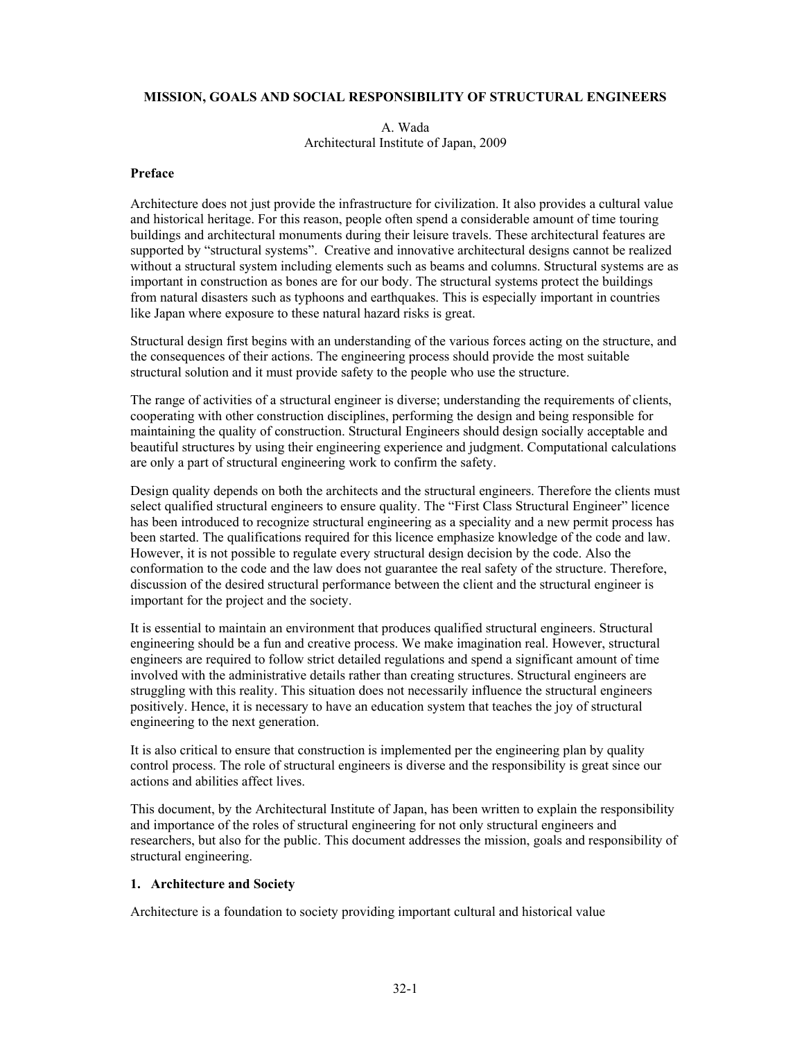### **MISSION, GOALS AND SOCIAL RESPONSIBILITY OF STRUCTURAL ENGINEERS**

A. Wada Architectural Institute of Japan, 2009

#### **Preface**

Architecture does not just provide the infrastructure for civilization. It also provides a cultural value and historical heritage. For this reason, people often spend a considerable amount of time touring buildings and architectural monuments during their leisure travels. These architectural features are supported by "structural systems". Creative and innovative architectural designs cannot be realized without a structural system including elements such as beams and columns. Structural systems are as important in construction as bones are for our body. The structural systems protect the buildings from natural disasters such as typhoons and earthquakes. This is especially important in countries like Japan where exposure to these natural hazard risks is great.

Structural design first begins with an understanding of the various forces acting on the structure, and the consequences of their actions. The engineering process should provide the most suitable structural solution and it must provide safety to the people who use the structure.

The range of activities of a structural engineer is diverse; understanding the requirements of clients, cooperating with other construction disciplines, performing the design and being responsible for maintaining the quality of construction. Structural Engineers should design socially acceptable and beautiful structures by using their engineering experience and judgment. Computational calculations are only a part of structural engineering work to confirm the safety.

Design quality depends on both the architects and the structural engineers. Therefore the clients must select qualified structural engineers to ensure quality. The "First Class Structural Engineer" licence has been introduced to recognize structural engineering as a speciality and a new permit process has been started. The qualifications required for this licence emphasize knowledge of the code and law. However, it is not possible to regulate every structural design decision by the code. Also the conformation to the code and the law does not guarantee the real safety of the structure. Therefore, discussion of the desired structural performance between the client and the structural engineer is important for the project and the society.

It is essential to maintain an environment that produces qualified structural engineers. Structural engineering should be a fun and creative process. We make imagination real. However, structural engineers are required to follow strict detailed regulations and spend a significant amount of time involved with the administrative details rather than creating structures. Structural engineers are struggling with this reality. This situation does not necessarily influence the structural engineers positively. Hence, it is necessary to have an education system that teaches the joy of structural engineering to the next generation.

It is also critical to ensure that construction is implemented per the engineering plan by quality control process. The role of structural engineers is diverse and the responsibility is great since our actions and abilities affect lives.

This document, by the Architectural Institute of Japan, has been written to explain the responsibility and importance of the roles of structural engineering for not only structural engineers and researchers, but also for the public. This document addresses the mission, goals and responsibility of structural engineering.

#### **1. Architecture and Society**

Architecture is a foundation to society providing important cultural and historical value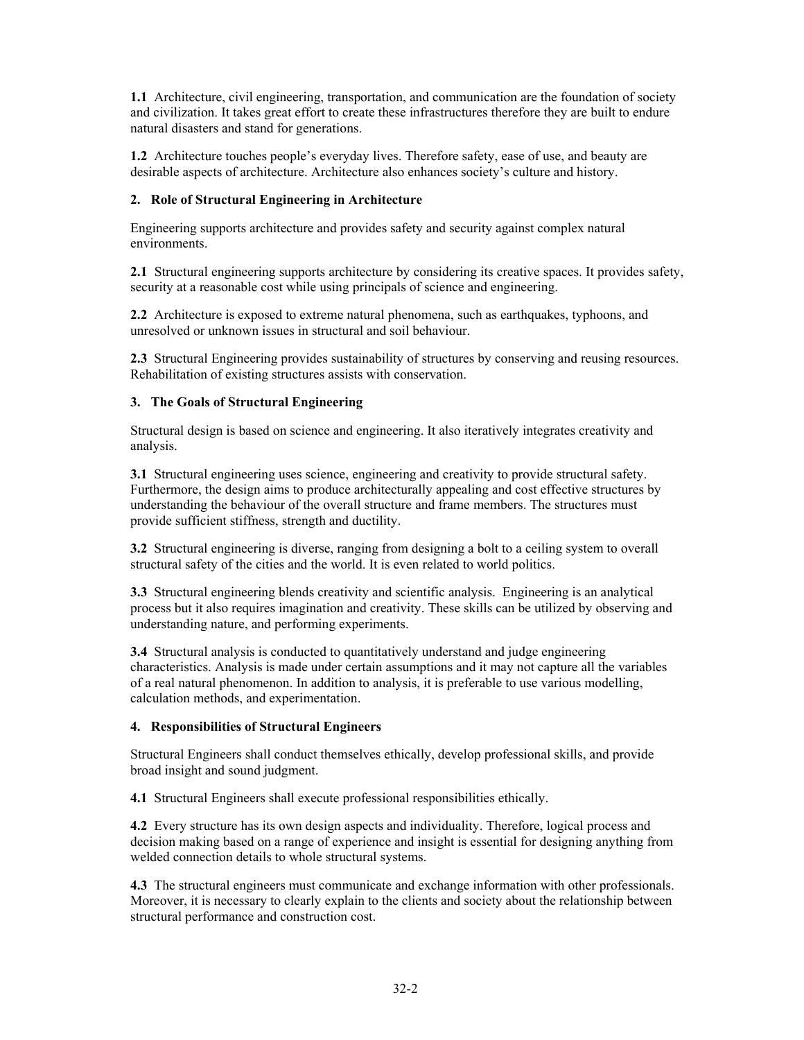**1.1** Architecture, civil engineering, transportation, and communication are the foundation of society and civilization. It takes great effort to create these infrastructures therefore they are built to endure natural disasters and stand for generations.

**1.2** Architecture touches people's everyday lives. Therefore safety, ease of use, and beauty are desirable aspects of architecture. Architecture also enhances society's culture and history.

## **2. Role of Structural Engineering in Architecture**

Engineering supports architecture and provides safety and security against complex natural environments.

**2.1** Structural engineering supports architecture by considering its creative spaces. It provides safety, security at a reasonable cost while using principals of science and engineering.

**2.2** Architecture is exposed to extreme natural phenomena, such as earthquakes, typhoons, and unresolved or unknown issues in structural and soil behaviour.

**2.3** Structural Engineering provides sustainability of structures by conserving and reusing resources. Rehabilitation of existing structures assists with conservation.

# **3. The Goals of Structural Engineering**

Structural design is based on science and engineering. It also iteratively integrates creativity and analysis.

**3.1** Structural engineering uses science, engineering and creativity to provide structural safety. Furthermore, the design aims to produce architecturally appealing and cost effective structures by understanding the behaviour of the overall structure and frame members. The structures must provide sufficient stiffness, strength and ductility.

**3.2** Structural engineering is diverse, ranging from designing a bolt to a ceiling system to overall structural safety of the cities and the world. It is even related to world politics.

**3.3** Structural engineering blends creativity and scientific analysis. Engineering is an analytical process but it also requires imagination and creativity. These skills can be utilized by observing and understanding nature, and performing experiments.

**3.4** Structural analysis is conducted to quantitatively understand and judge engineering characteristics. Analysis is made under certain assumptions and it may not capture all the variables of a real natural phenomenon. In addition to analysis, it is preferable to use various modelling, calculation methods, and experimentation.

# **4. Responsibilities of Structural Engineers**

Structural Engineers shall conduct themselves ethically, develop professional skills, and provide broad insight and sound judgment.

**4.1** Structural Engineers shall execute professional responsibilities ethically.

**4.2** Every structure has its own design aspects and individuality. Therefore, logical process and decision making based on a range of experience and insight is essential for designing anything from welded connection details to whole structural systems.

**4.3** The structural engineers must communicate and exchange information with other professionals. Moreover, it is necessary to clearly explain to the clients and society about the relationship between structural performance and construction cost.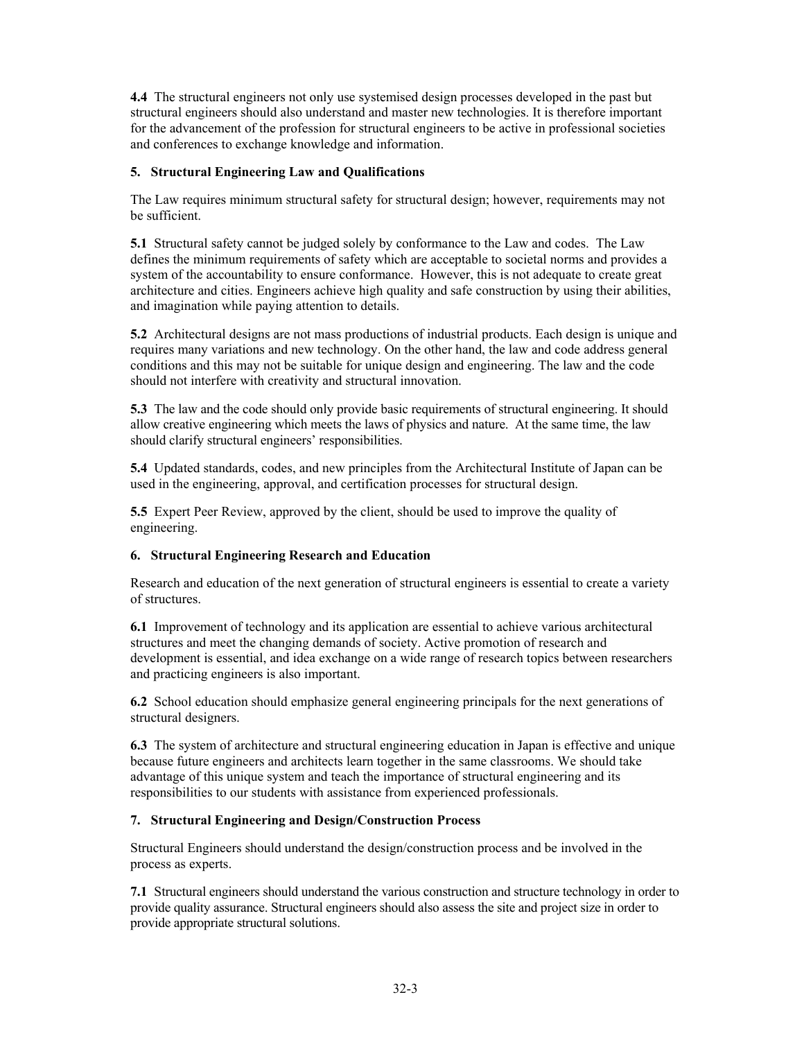**4.4** The structural engineers not only use systemised design processes developed in the past but structural engineers should also understand and master new technologies. It is therefore important for the advancement of the profession for structural engineers to be active in professional societies and conferences to exchange knowledge and information.

# **5. Structural Engineering Law and Qualifications**

The Law requires minimum structural safety for structural design; however, requirements may not be sufficient.

**5.1** Structural safety cannot be judged solely by conformance to the Law and codes. The Law defines the minimum requirements of safety which are acceptable to societal norms and provides a system of the accountability to ensure conformance. However, this is not adequate to create great architecture and cities. Engineers achieve high quality and safe construction by using their abilities, and imagination while paying attention to details.

**5.2** Architectural designs are not mass productions of industrial products. Each design is unique and requires many variations and new technology. On the other hand, the law and code address general conditions and this may not be suitable for unique design and engineering. The law and the code should not interfere with creativity and structural innovation.

**5.3** The law and the code should only provide basic requirements of structural engineering. It should allow creative engineering which meets the laws of physics and nature. At the same time, the law should clarify structural engineers' responsibilities.

**5.4** Updated standards, codes, and new principles from the Architectural Institute of Japan can be used in the engineering, approval, and certification processes for structural design.

**5.5** Expert Peer Review, approved by the client, should be used to improve the quality of engineering.

### **6. Structural Engineering Research and Education**

Research and education of the next generation of structural engineers is essential to create a variety of structures.

**6.1** Improvement of technology and its application are essential to achieve various architectural structures and meet the changing demands of society. Active promotion of research and development is essential, and idea exchange on a wide range of research topics between researchers and practicing engineers is also important.

**6.2** School education should emphasize general engineering principals for the next generations of structural designers.

**6.3** The system of architecture and structural engineering education in Japan is effective and unique because future engineers and architects learn together in the same classrooms. We should take advantage of this unique system and teach the importance of structural engineering and its responsibilities to our students with assistance from experienced professionals.

### **7. Structural Engineering and Design/Construction Process**

Structural Engineers should understand the design/construction process and be involved in the process as experts.

**7.1** Structural engineers should understand the various construction and structure technology in order to provide quality assurance. Structural engineers should also assess the site and project size in order to provide appropriate structural solutions.